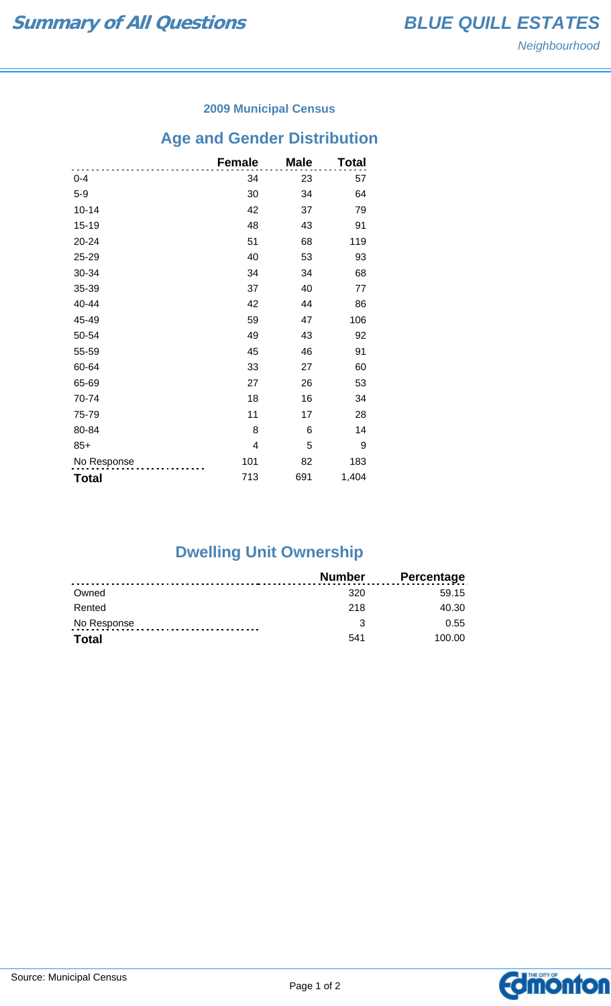### **2009 Municipal Census**

## **Age and Gender Distribution**

|              | <b>Female</b> | <b>Male</b> | Total |
|--------------|---------------|-------------|-------|
| $0 - 4$      | 34            | 23          | 57    |
| $5-9$        | 30            | 34          | 64    |
| $10 - 14$    | 42            | 37          | 79    |
| 15-19        | 48            | 43          | 91    |
| 20-24        | 51            | 68          | 119   |
| 25-29        | 40            | 53          | 93    |
| 30-34        | 34            | 34          | 68    |
| 35-39        | 37            | 40          | 77    |
| 40-44        | 42            | 44          | 86    |
| 45-49        | 59            | 47          | 106   |
| 50-54        | 49            | 43          | 92    |
| 55-59        | 45            | 46          | 91    |
| 60-64        | 33            | 27          | 60    |
| 65-69        | 27            | 26          | 53    |
| 70-74        | 18            | 16          | 34    |
| 75-79        | 11            | 17          | 28    |
| 80-84        | 8             | 6           | 14    |
| $85+$        | 4             | 5           | 9     |
| No Response  | 101           | 82          | 183   |
| <b>Total</b> | 713           | 691         | 1,404 |

# **Dwelling Unit Ownership**

|              | <b>Number</b> | <b>Percentage</b> |
|--------------|---------------|-------------------|
| Owned        | 320           | 59.15             |
| Rented       | 218           | 40.30             |
| No Response  |               | 0.55              |
| <b>Total</b> | 541           | 100.00            |